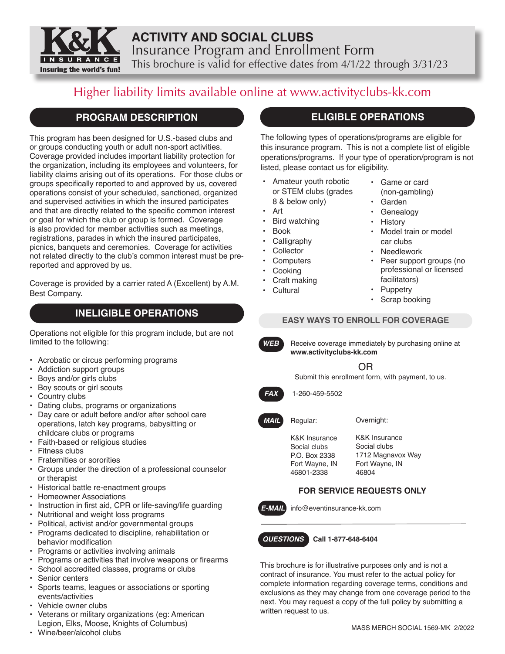

# **ACTIVITY AND SOCIAL CLUBS** Insurance Program and Enrollment Form This brochure is valid for effective dates from 4/1/22 through 3/31/23

# Higher liability limits available online at www.activityclubs-kk.com

# **PROGRAM DESCRIPTION**

This program has been designed for U.S.-based clubs and or groups conducting youth or adult non-sport activities. Coverage provided includes important liability protection for the organization, including its employees and volunteers, for liability claims arising out of its operations. For those clubs or groups specifically reported to and approved by us, covered operations consist of your scheduled, sanctioned, organized and supervised activities in which the insured participates and that are directly related to the specific common interest or goal for which the club or group is formed. Coverage is also provided for member activities such as meetings, registrations, parades in which the insured participates, picnics, banquets and ceremonies. Coverage for activities not related directly to the club's common interest must be prereported and approved by us.

Coverage is provided by a carrier rated A (Excellent) by A.M. Best Company.

# **INELIGIBLE OPERATIONS**

Operations not eligible for this program include, but are not limited to the following:

- Acrobatic or circus performing programs
- Addiction support groups
- Boys and/or girls clubs
- Boy scouts or girl scouts
- Country clubs
- Dating clubs, programs or organizations
- Day care or adult before and/or after school care operations, latch key programs, babysitting or childcare clubs or programs
- Faith-based or religious studies
- **Fitness clubs**
- Fraternities or sororities
- Groups under the direction of a professional counselor or therapist
- Historical battle re-enactment groups
- Homeowner Associations
- Instruction in first aid, CPR or life-saving/life guarding
- Nutritional and weight loss programs
- Political, activist and/or governmental groups
- Programs dedicated to discipline, rehabilitation or behavior modification
- Programs or activities involving animals
- Programs or activities that involve weapons or firearms
- School accredited classes, programs or clubs
- Senior centers
- Sports teams, leagues or associations or sporting events/activities
- Vehicle owner clubs
- Veterans or military organizations (eg: American Legion, Elks, Moose, Knights of Columbus)
- Wine/beer/alcohol clubs

# **ELIGIBLE OPERATIONS**

The following types of operations/programs are eligible for this insurance program. This is not a complete list of eligible operations/programs. If your type of operation/program is not listed, please contact us for eligibility.

- Amateur youth robotic or STEM clubs (grades 8 & below only)
- Art
- Bird watching
- Book
- Calligraphy
- **Collector**
- Computers
- **Cooking**
- Craft making
- 
- 

## **EASY WAYS TO ENROLL FOR COVERAGE**



**WEB** Receive coverage immediately by purchasing online at **www.activityclubs-kk.com**

OR

Submit this enrollment form, with payment, to us.

*FAX* 1-260-459-5502



- Overnight:
- K&K Insurance Social clubs P.O. Box 2338 Fort Wayne, IN 46801-2338

K&K Insurance Social clubs 1712 Magnavox Way Fort Wayne, IN 46804

## **FOR SERVICE REQUESTS ONLY**

*E-MAIL* info@eventinsurance-kk.com

*QUESTIONS* **Call 1-877-648-6404**

This brochure is for illustrative purposes only and is not a contract of insurance. You must refer to the actual policy for complete information regarding coverage terms, conditions and exclusions as they may change from one coverage period to the next. You may request a copy of the full policy by submitting a written request to us.

**Cultural** 

(non-gambling) • Garden **Genealogy** 

• Game or card

- **History**
- Model train or model car clubs
- Needlework
- Peer support groups (no professional or licensed facilitators)
- **Puppetry**
- Scrap booking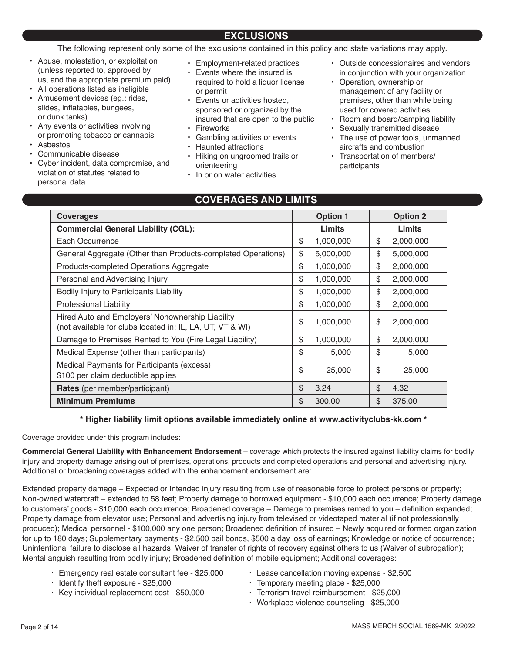# **EXCLUSIONS**

The following represent only some of the exclusions contained in this policy and state variations may apply.

- Abuse, molestation, or exploitation (unless reported to, approved by us, and the appropriate premium paid)
- All operations listed as ineligible
- Amusement devices (eg.: rides, slides, inflatables, bungees, or dunk tanks)
- Any events or activities involving or promoting tobacco or cannabis
- Asbestos
- Communicable disease
- Cyber incident, data compromise, and violation of statutes related to personal data
- Employment-related practices
- Events where the insured is required to hold a liquor license or permit
- Events or activities hosted, sponsored or organized by the insured that are open to the public
- **Fireworks**
- Gambling activities or events
- Haunted attractions
- Hiking on ungroomed trails or orienteering
- In or on water activities

# **COVERAGES AND LIMITS**

- Outside concessionaires and vendors in conjunction with your organization
- Operation, ownership or management of any facility or premises, other than while being used for covered activities
- Room and board/camping liability
- Sexually transmitted disease
- The use of power tools, unmanned aircrafts and combustion
- Transportation of members/ participants

| <b>Coverages</b>                                                                                              | <b>Option 1</b> |           |                | <b>Option 2</b> |
|---------------------------------------------------------------------------------------------------------------|-----------------|-----------|----------------|-----------------|
| <b>Commercial General Liability (CGL):</b>                                                                    |                 | Limits    |                | Limits          |
| Each Occurrence                                                                                               | \$              | 1,000,000 | \$             | 2,000,000       |
| General Aggregate (Other than Products-completed Operations)                                                  | \$              | 5,000,000 | \$             | 5,000,000       |
| Products-completed Operations Aggregate                                                                       | \$              | 1,000,000 | \$             | 2,000,000       |
| Personal and Advertising Injury                                                                               | \$              | 1,000,000 | \$             | 2,000,000       |
| Bodily Injury to Participants Liability                                                                       | \$              | 1,000,000 | \$             | 2,000,000       |
| <b>Professional Liability</b>                                                                                 | \$              | 1,000,000 | \$             | 2,000,000       |
| Hired Auto and Employers' Nonownership Liability<br>(not available for clubs located in: IL, LA, UT, VT & WI) | \$              | 1,000,000 | \$             | 2,000,000       |
| Damage to Premises Rented to You (Fire Legal Liability)                                                       | \$              | 1,000,000 | \$             | 2,000,000       |
| Medical Expense (other than participants)                                                                     | \$              | 5,000     | \$             | 5,000           |
| Medical Payments for Participants (excess)<br>\$100 per claim deductible applies                              | \$              | 25,000    | \$             | 25,000          |
| <b>Rates</b> (per member/participant)                                                                         | \$              | 3.24      | $\mathfrak{L}$ | 4.32            |
| <b>Minimum Premiums</b>                                                                                       | \$              | 300.00    | $\mathfrak{L}$ | 375.00          |

## **\* Higher liability limit options available immediately online at www.activityclubs-kk.com \***

Coverage provided under this program includes:

**Commercial General Liability with Enhancement Endorsement** – coverage which protects the insured against liability claims for bodily injury and property damage arising out of premises, operations, products and completed operations and personal and advertising injury. Additional or broadening coverages added with the enhancement endorsement are:

Extended property damage – Expected or Intended injury resulting from use of reasonable force to protect persons or property; Non-owned watercraft – extended to 58 feet; Property damage to borrowed equipment - \$10,000 each occurrence; Property damage to customers' goods - \$10,000 each occurrence; Broadened coverage – Damage to premises rented to you – definition expanded; Property damage from elevator use; Personal and advertising injury from televised or videotaped material (if not professionally produced); Medical personnel - \$100,000 any one person; Broadened definition of insured – Newly acquired or formed organization for up to 180 days; Supplementary payments - \$2,500 bail bonds, \$500 a day loss of earnings; Knowledge or notice of occurrence; Unintentional failure to disclose all hazards; Waiver of transfer of rights of recovery against others to us (Waiver of subrogation); Mental anguish resulting from bodily injury; Broadened definition of mobile equipment; Additional coverages:

- · Emergency real estate consultant fee \$25,000
	- · Lease cancellation moving expense \$2,500
- · Identify theft exposure \$25,000
- · Temporary meeting place \$25,000
- · Key individual replacement cost \$50,000
- · Terrorism travel reimbursement \$25,000
- · Workplace violence counseling \$25,000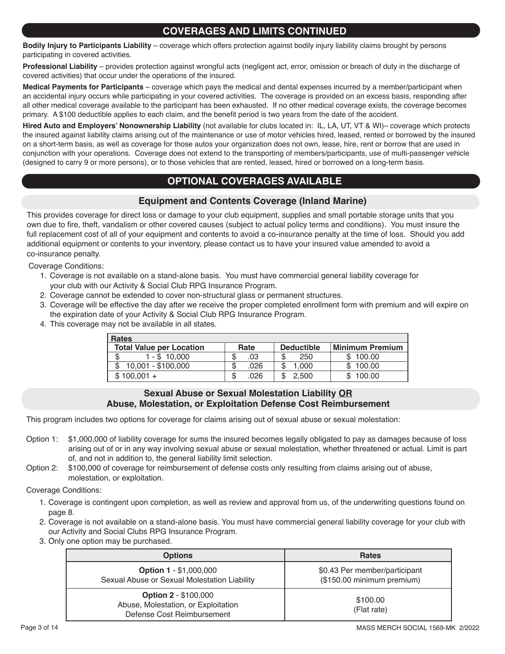## **COVERAGES AND LIMITS CONTINUED**

**Bodily Injury to Participants Liability** – coverage which offers protection against bodily injury liability claims brought by persons participating in covered activities.

**Professional Liability** – provides protection against wrongful acts (negligent act, error, omission or breach of duty in the discharge of covered activities) that occur under the operations of the insured.

**Medical Payments for Participants** – coverage which pays the medical and dental expenses incurred by a member/participant when an accidental injury occurs while participating in your covered activities. The coverage is provided on an excess basis, responding after all other medical coverage available to the participant has been exhausted. If no other medical coverage exists, the coverage becomes primary. A \$100 deductible applies to each claim, and the benefit period is two years from the date of the accident.

**Hired Auto and Employers' Nonownership Liability** (not available for clubs located in: IL, LA, UT, VT & WI)– coverage which protects the insured against liability claims arising out of the maintenance or use of motor vehicles hired, leased, rented or borrowed by the insured on a short-term basis, as well as coverage for those autos your organization does not own, lease, hire, rent or borrow that are used in conjunction with your operations. Coverage does not extend to the transporting of members/participants, use of multi-passenger vehicle (designed to carry 9 or more persons), or to those vehicles that are rented, leased, hired or borrowed on a long-term basis.

# **OPTIONAL COVERAGES AVAILABLE**

## **Equipment and Contents Coverage (Inland Marine)**

This provides coverage for direct loss or damage to your club equipment, supplies and small portable storage units that you own due to fire, theft, vandalism or other covered causes (subject to actual policy terms and conditions). You must insure the full replacement cost of all of your equipment and contents to avoid a co-insurance penalty at the time of loss. Should you add additional equipment or contents to your inventory, please contact us to have your insured value amended to avoid a co-insurance penalty.

Coverage Conditions:

- 1. Coverage is not available on a stand-alone basis. You must have commercial general liability coverage for your club with our Activity & Social Club RPG Insurance Program.
- 2. Coverage cannot be extended to cover non-structural glass or permanent structures.
- 3. Coverage will be effective the day after we receive the proper completed enrollment form with premium and will expire on the expiration date of your Activity & Social Club RPG Insurance Program.
- 4. This coverage may not be available in all states.

| <b>Rates</b>                    |           |                   |                        |  |  |
|---------------------------------|-----------|-------------------|------------------------|--|--|
| <b>Total Value per Location</b> | Rate      | <b>Deductible</b> | <b>Minimum Premium</b> |  |  |
| $1 - $10.000$<br>S              | .03       | 250               | \$100.00               |  |  |
| 10,001 - \$100,000              | .026<br>S | 1.000             | \$100.00               |  |  |
| $$100,001 +$                    | .026      | 2.500             | \$100.00               |  |  |

## **Sexual Abuse or Sexual Molestation Liability OR Abuse, Molestation, or Exploitation Defense Cost Reimbursement**

This program includes two options for coverage for claims arising out of sexual abuse or sexual molestation:

- Option 1: \$1,000,000 of liability coverage for sums the insured becomes legally obligated to pay as damages because of loss arising out of or in any way involving sexual abuse or sexual molestation, whether threatened or actual. Limit is part of, and not in addition to, the general liability limit selection.
- Option 2: \$100,000 of coverage for reimbursement of defense costs only resulting from claims arising out of abuse, molestation, or exploitation.

Coverage Conditions:

- 1. Coverage is contingent upon completion, as well as review and approval from us, of the underwriting questions found on page 8.
- 2. Coverage is not available on a stand-alone basis. You must have commercial general liability coverage for your club with our Activity and Social Clubs RPG Insurance Program.
- 3. Only one option may be purchased.

| <b>Options</b>                                                                                   | <b>Rates</b>                                                |  |  |
|--------------------------------------------------------------------------------------------------|-------------------------------------------------------------|--|--|
| <b>Option 1 - \$1,000,000</b><br>Sexual Abuse or Sexual Molestation Liability                    | \$0.43 Per member/participant<br>(\$150.00 minimum premium) |  |  |
| <b>Option 2 - \$100,000</b><br>Abuse, Molestation, or Exploitation<br>Defense Cost Reimbursement | \$100.00<br>(Flat rate)                                     |  |  |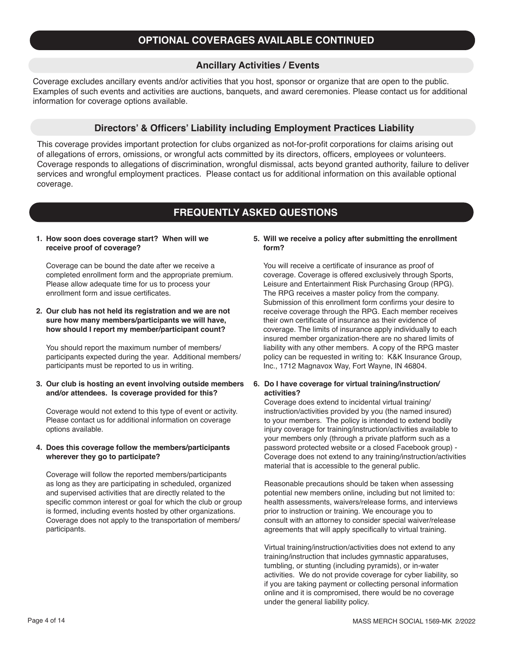# **OPTIONAL COVERAGES AVAILABLE CONTINUED**

## **Ancillary Activities / Events**

Coverage excludes ancillary events and/or activities that you host, sponsor or organize that are open to the public. Examples of such events and activities are auctions, banquets, and award ceremonies. Please contact us for additional information for coverage options available.

### **Directors' & Officers' Liability including Employment Practices Liability**

This coverage provides important protection for clubs organized as not-for-profit corporations for claims arising out of allegations of errors, omissions, or wrongful acts committed by its directors, officers, employees or volunteers. Coverage responds to allegations of discrimination, wrongful dismissal, acts beyond granted authority, failure to deliver services and wrongful employment practices. Please contact us for additional information on this available optional coverage.

## **FREQUENTLY ASKED QUESTIONS**

### **1. How soon does coverage start? When will we receive proof of coverage?**

Coverage can be bound the date after we receive a completed enrollment form and the appropriate premium. Please allow adequate time for us to process your enrollment form and issue certificates.

### **2. Our club has not held its registration and we are not sure how many members/participants we will have, how should I report my member/participant count?**

You should report the maximum number of members/ participants expected during the year. Additional members/ participants must be reported to us in writing.

### **3. Our club is hosting an event involving outside members and/or attendees. Is coverage provided for this?**

Coverage would not extend to this type of event or activity. Please contact us for additional information on coverage options available.

### **4. Does this coverage follow the members/participants wherever they go to participate?**

Coverage will follow the reported members/participants as long as they are participating in scheduled, organized and supervised activities that are directly related to the specific common interest or goal for which the club or group is formed, including events hosted by other organizations. Coverage does not apply to the transportation of members/ participants.

### **5. Will we receive a policy after submitting the enrollment form?**

You will receive a certificate of insurance as proof of coverage. Coverage is offered exclusively through Sports, Leisure and Entertainment Risk Purchasing Group (RPG). The RPG receives a master policy from the company. Submission of this enrollment form confirms your desire to receive coverage through the RPG. Each member receives their own certificate of insurance as their evidence of coverage. The limits of insurance apply individually to each insured member organization-there are no shared limits of liability with any other members. A copy of the RPG master policy can be requested in writing to: K&K Insurance Group, Inc., 1712 Magnavox Way, Fort Wayne, IN 46804.

### **6. Do I have coverage for virtual training/instruction/ activities?**

Coverage does extend to incidental virtual training/ instruction/activities provided by you (the named insured) to your members. The policy is intended to extend bodily injury coverage for training/instruction/activities available to your members only (through a private platform such as a password protected website or a closed Facebook group) - Coverage does not extend to any training/instruction/activities material that is accessible to the general public.

Reasonable precautions should be taken when assessing potential new members online, including but not limited to: health assessments, waivers/release forms, and interviews prior to instruction or training. We encourage you to consult with an attorney to consider special waiver/release agreements that will apply specifically to virtual training.

Virtual training/instruction/activities does not extend to any training/instruction that includes gymnastic apparatuses, tumbling, or stunting (including pyramids), or in-water activities. We do not provide coverage for cyber liability, so if you are taking payment or collecting personal information online and it is compromised, there would be no coverage under the general liability policy.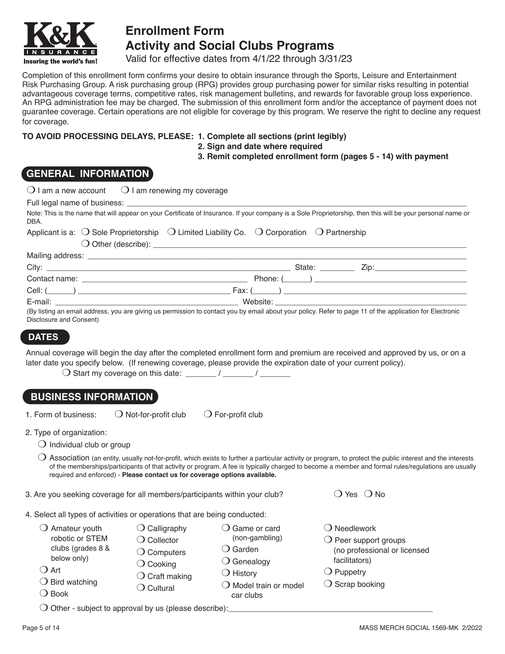

# **Enrollment Form Activity and Social Clubs Programs**

Valid for effective dates from 4/1/22 through 3/31/23

Completion of this enrollment form confirms your desire to obtain insurance through the Sports, Leisure and Entertainment Risk Purchasing Group. A risk purchasing group (RPG) provides group purchasing power for similar risks resulting in potential advantageous coverage terms, competitive rates, risk management bulletins, and rewards for favorable group loss experience. An RPG administration fee may be charged. The submission of this enrollment form and/or the acceptance of payment does not guarantee coverage. Certain operations are not eligible for coverage by this program. We reserve the right to decline any request for coverage.

## **TO AVOID PROCESSING DELAYS, PLEASE: 1. Complete all sections (print legibly)**

**2. Sign and date where required**

**3. Remit completed enrollment form (pages 5 - 14) with payment**

# **GENERAL INFORMATION**

| $\bigcup$ I am a new account                                                               | $\bigcirc$ I am renewing my coverage                                                         |                                                                                                                               |                                                                                                                                                                                                                                                                                                                              |
|--------------------------------------------------------------------------------------------|----------------------------------------------------------------------------------------------|-------------------------------------------------------------------------------------------------------------------------------|------------------------------------------------------------------------------------------------------------------------------------------------------------------------------------------------------------------------------------------------------------------------------------------------------------------------------|
|                                                                                            |                                                                                              |                                                                                                                               |                                                                                                                                                                                                                                                                                                                              |
| DBA.                                                                                       |                                                                                              |                                                                                                                               | Note: This is the name that will appear on your Certificate of Insurance. If your company is a Sole Proprietorship, then this will be your personal name or                                                                                                                                                                  |
|                                                                                            |                                                                                              | Applicant is a: $\bigcirc$ Sole Proprietorship $\bigcirc$ Limited Liability Co. $\bigcirc$ Corporation $\bigcirc$ Partnership |                                                                                                                                                                                                                                                                                                                              |
|                                                                                            |                                                                                              |                                                                                                                               |                                                                                                                                                                                                                                                                                                                              |
|                                                                                            |                                                                                              |                                                                                                                               |                                                                                                                                                                                                                                                                                                                              |
|                                                                                            |                                                                                              |                                                                                                                               |                                                                                                                                                                                                                                                                                                                              |
|                                                                                            |                                                                                              |                                                                                                                               |                                                                                                                                                                                                                                                                                                                              |
|                                                                                            |                                                                                              |                                                                                                                               |                                                                                                                                                                                                                                                                                                                              |
| Disclosure and Consent)                                                                    |                                                                                              |                                                                                                                               | (By listing an email address, you are giving us permission to contact you by email about your policy. Refer to page 11 of the application for Electronic                                                                                                                                                                     |
| <b>DATES</b>                                                                               |                                                                                              |                                                                                                                               |                                                                                                                                                                                                                                                                                                                              |
| <b>BUSINESS INFORMATION</b>                                                                |                                                                                              | later date you specify below. (If renewing coverage, please provide the expiration date of your current policy).              |                                                                                                                                                                                                                                                                                                                              |
| 1. Form of business:                                                                       | $\bigcirc$ Not-for-profit club                                                               | $\bigcirc$ For-profit club                                                                                                    |                                                                                                                                                                                                                                                                                                                              |
| 2. Type of organization:                                                                   |                                                                                              |                                                                                                                               |                                                                                                                                                                                                                                                                                                                              |
| $\bigcirc$ Individual club or group                                                        |                                                                                              |                                                                                                                               |                                                                                                                                                                                                                                                                                                                              |
|                                                                                            | required and enforced) - Please contact us for coverage options available.                   |                                                                                                                               | $\bigcirc$ Association (an entity, usually not-for-profit, which exists to further a particular activity or program, to protect the public interest and the interests<br>of the memberships/participants of that activity or program. A fee is typically charged to become a member and formal rules/regulations are usually |
| 3. Are you seeking coverage for all members/participants within your club?                 |                                                                                              |                                                                                                                               | $\bigcirc$ Yes $\bigcirc$ No                                                                                                                                                                                                                                                                                                 |
| 4. Select all types of activities or operations that are being conducted:                  |                                                                                              |                                                                                                                               |                                                                                                                                                                                                                                                                                                                              |
| $\bigcirc$ Amateur youth<br>robotic or STEM<br>clubs (grades 8 &<br>below only)<br>( ) Art | $\bigcirc$ Calligraphy<br>$\bigcirc$ Collector<br>$\bigcirc$ Computers<br>$\bigcirc$ Cooking | $\bigcirc$ Game or card<br>(non-gambling)<br>$\bigcirc$ Garden<br>$\bigcirc$ Genealogy                                        | $\bigcirc$ Needlework<br>$\bigcirc$ Peer support groups<br>(no professional or licensed<br>facilitators)                                                                                                                                                                                                                     |
| $\bigcirc$ Bird watching                                                                   | $\bigcirc$ Craft making                                                                      | $\bigcirc$ History                                                                                                            | $\bigcirc$ Puppetry<br>$\bigcirc$ Scrap booking                                                                                                                                                                                                                                                                              |
| $\bigcirc$ Book                                                                            | $\bigcirc$ Cultural                                                                          | $\bigcirc$ Model train or model<br>car clubs                                                                                  |                                                                                                                                                                                                                                                                                                                              |

 $\bigcirc$  Other - subject to approval by us (please describe):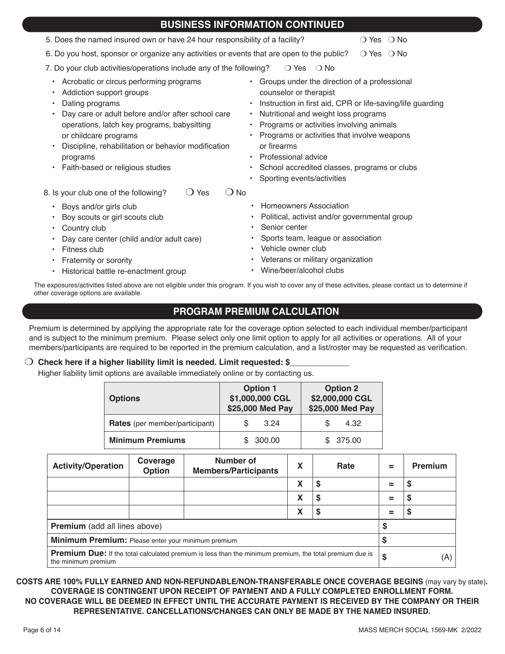| <b>BUSINESS INFORMATION CONTINUED</b>                                                                                                                                                                                                                                                                                                                                                                                                                                                                                                                                                                                                                                                                                                    |                              |  |  |  |
|------------------------------------------------------------------------------------------------------------------------------------------------------------------------------------------------------------------------------------------------------------------------------------------------------------------------------------------------------------------------------------------------------------------------------------------------------------------------------------------------------------------------------------------------------------------------------------------------------------------------------------------------------------------------------------------------------------------------------------------|------------------------------|--|--|--|
| 5. Does the named insured own or have 24 hour responsibility of a facility?                                                                                                                                                                                                                                                                                                                                                                                                                                                                                                                                                                                                                                                              | $\bigcirc$ Yes $\bigcirc$ No |  |  |  |
| 6. Do you host, sponsor or organize any activities or events that are open to the public?                                                                                                                                                                                                                                                                                                                                                                                                                                                                                                                                                                                                                                                | $\bigcirc$ Yes $\bigcirc$ No |  |  |  |
| 7. Do your club activities/operations include any of the following?<br>$\bigcirc$ Yes<br>$\bigcirc$ No                                                                                                                                                                                                                                                                                                                                                                                                                                                                                                                                                                                                                                   |                              |  |  |  |
| Acrobatic or circus performing programs<br>• Groups under the direction of a professional<br>counselor or therapist<br>Addiction support groups<br>Dating programs<br>Instruction in first aid, CPR or life-saving/life guarding<br>Day care or adult before and/or after school care<br>Nutritional and weight loss programs<br>$\bullet$<br>Programs or activities involving animals<br>operations, latch key programs, babysitting<br>Programs or activities that involve weapons<br>or childcare programs<br>or firearms<br>Discipline, rehabilitation or behavior modification<br>Professional advice<br>programs<br>Faith-based or religious studies<br>School accredited classes, programs or clubs<br>Sporting events/activities |                              |  |  |  |
| $\bigcirc$ No<br>8. Is your club one of the following?<br>Yes                                                                                                                                                                                                                                                                                                                                                                                                                                                                                                                                                                                                                                                                            |                              |  |  |  |
| <b>Homeowners Association</b><br>Boys and/or girls club<br>$\bullet$<br>• Political, activist and/or governmental group<br>Boy scouts or girl scouts club<br>Senior center<br>Country club<br>$\bullet$<br>• Sports team, league or association<br>Day care center (child and/or adult care)                                                                                                                                                                                                                                                                                                                                                                                                                                             |                              |  |  |  |
| • Vehicle owner club<br>Fitness club                                                                                                                                                                                                                                                                                                                                                                                                                                                                                                                                                                                                                                                                                                     |                              |  |  |  |
| • Veterans or military organization<br>Fraternity or sorority<br>Wine/beer/alcohol clubs<br>Historical battle re-enactment group                                                                                                                                                                                                                                                                                                                                                                                                                                                                                                                                                                                                         |                              |  |  |  |

The exposures/activities listed above are not eligible under this program. If you wish to cover any of these activities, please contact us to determine if other coverage options are available.

# **PROGRAM PREMIUM CALCULATION**

Premium is determined by applying the appropriate rate for the coverage option selected to each individual member/participant and is subject to the minimum premium. Please select only one limit option to apply for all activities or operations. All of your members/participants are required to be reported in the premium calculation, and a list/roster may be requested as verification.

## O Check here if a higher liability limit is needed. Limit requested: \$\_

Higher liability limit options are available immediately online or by contacting us.

| <b>Options</b>                        | <b>Option 1</b><br>\$1,000,000 CGL<br>\$25,000 Med Pay | <b>Option 2</b><br>\$2,000,000 CGL<br>\$25,000 Med Pay |
|---------------------------------------|--------------------------------------------------------|--------------------------------------------------------|
| <b>Rates</b> (per member/participant) | 3.24                                                   | 4.32                                                   |
| <b>Minimum Premiums</b>               | 300.00                                                 | \$375.00                                               |

| <b>Activity/Operation</b>                                                                                                             | Coverage<br>Option | Number of<br><b>Members/Participants</b> | Χ      | Rate | $\equiv$ | <b>Premium</b> |
|---------------------------------------------------------------------------------------------------------------------------------------|--------------------|------------------------------------------|--------|------|----------|----------------|
|                                                                                                                                       |                    |                                          | X      | S    | =        | S              |
|                                                                                                                                       |                    |                                          | X      | S    | =        | S              |
|                                                                                                                                       |                    |                                          | v<br>л | S    | =        | S              |
| <b>Premium</b> (add all lines above)                                                                                                  |                    |                                          |        |      | S        |                |
| Minimum Premium: Please enter your minimum premium                                                                                    |                    |                                          |        |      |          |                |
| <b>Premium Due:</b> If the total calculated premium is less than the minimum premium, the total premium due is<br>the minimum premium |                    |                                          |        | \$   |          |                |

**COSTS ARE 100% FULLY EARNED AND NON-REFUNDABLE/NON-TRANSFERABLE ONCE COVERAGE BEGINS** (may vary by state)**. COVERAGE IS CONTINGENT UPON RECEIPT OF PAYMENT AND A FULLY COMPLETED ENROLLMENT FORM. NO COVERAGE WILL BE DEEMED IN EFFECT UNTIL THE ACCURATE PAYMENT IS RECEIVED BY THE COMPANY OR THEIR REPRESENTATIVE. CANCELLATIONS/CHANGES CAN ONLY BE MADE BY THE NAMED INSURED.**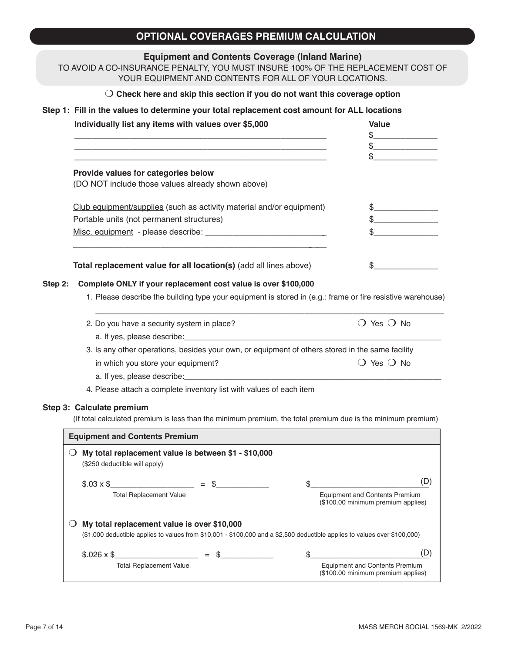# **OPTIONAL COVERAGES PREMIUM CALCULATION**

## **Equipment and Contents Coverage (Inland Marine)**

TO AVOID A CO-INSURANCE PENALTY, YOU MUST INSURE 100% OF THE REPLACEMENT COST OF YOUR EQUIPMENT AND CONTENTS FOR ALL OF YOUR LOCATIONS.

### m **Check here and skip this section if you do not want this coverage option**

## **Step 1: Fill in the values to determine your total replacement cost amount for ALL locations**

|         | Individually list any items with values over \$5,000                                                                                                                                                                                                                                                                                                                                                                                    | <b>Value</b>                                                                                                                                                                                                                                                                                                                                                                                                         |
|---------|-----------------------------------------------------------------------------------------------------------------------------------------------------------------------------------------------------------------------------------------------------------------------------------------------------------------------------------------------------------------------------------------------------------------------------------------|----------------------------------------------------------------------------------------------------------------------------------------------------------------------------------------------------------------------------------------------------------------------------------------------------------------------------------------------------------------------------------------------------------------------|
|         |                                                                                                                                                                                                                                                                                                                                                                                                                                         | $\frac{1}{2}$                                                                                                                                                                                                                                                                                                                                                                                                        |
|         |                                                                                                                                                                                                                                                                                                                                                                                                                                         |                                                                                                                                                                                                                                                                                                                                                                                                                      |
|         | Provide values for categories below                                                                                                                                                                                                                                                                                                                                                                                                     |                                                                                                                                                                                                                                                                                                                                                                                                                      |
|         | (DO NOT include those values already shown above)                                                                                                                                                                                                                                                                                                                                                                                       |                                                                                                                                                                                                                                                                                                                                                                                                                      |
|         | Club equipment/supplies (such as activity material and/or equipment)                                                                                                                                                                                                                                                                                                                                                                    | $\frac{1}{2}$                                                                                                                                                                                                                                                                                                                                                                                                        |
|         | Portable units (not permanent structures)                                                                                                                                                                                                                                                                                                                                                                                               | $\frac{1}{\sqrt{1-\frac{1}{2}}\sqrt{1-\frac{1}{2}}\sqrt{1-\frac{1}{2}}\sqrt{1-\frac{1}{2}}\sqrt{1-\frac{1}{2}}\sqrt{1-\frac{1}{2}}\sqrt{1-\frac{1}{2}}\sqrt{1-\frac{1}{2}}\sqrt{1-\frac{1}{2}}\sqrt{1-\frac{1}{2}}\sqrt{1-\frac{1}{2}}\sqrt{1-\frac{1}{2}}\sqrt{1-\frac{1}{2}}\sqrt{1-\frac{1}{2}}\sqrt{1-\frac{1}{2}}\sqrt{1-\frac{1}{2}}\sqrt{1-\frac{1}{2}}\sqrt{1-\frac{1}{2}}\sqrt{1-\frac{1}{2}}\sqrt{1-\frac$ |
|         |                                                                                                                                                                                                                                                                                                                                                                                                                                         | $\mathfrak{S}$                                                                                                                                                                                                                                                                                                                                                                                                       |
|         | Total replacement value for all location(s) (add all lines above)                                                                                                                                                                                                                                                                                                                                                                       | S.                                                                                                                                                                                                                                                                                                                                                                                                                   |
| Step 2: | Complete ONLY if your replacement cost value is over \$100,000                                                                                                                                                                                                                                                                                                                                                                          |                                                                                                                                                                                                                                                                                                                                                                                                                      |
|         | 1. Please describe the building type your equipment is stored in (e.g.: frame or fire resistive warehouse)                                                                                                                                                                                                                                                                                                                              |                                                                                                                                                                                                                                                                                                                                                                                                                      |
|         | 2. Do you have a security system in place?                                                                                                                                                                                                                                                                                                                                                                                              | $\bigcirc$ Yes $\bigcirc$ No                                                                                                                                                                                                                                                                                                                                                                                         |
|         |                                                                                                                                                                                                                                                                                                                                                                                                                                         |                                                                                                                                                                                                                                                                                                                                                                                                                      |
|         | 3. Is any other operations, besides your own, or equipment of others stored in the same facility                                                                                                                                                                                                                                                                                                                                        |                                                                                                                                                                                                                                                                                                                                                                                                                      |
|         | in which you store your equipment?                                                                                                                                                                                                                                                                                                                                                                                                      | $\bigcirc$ Yes $\bigcirc$ No                                                                                                                                                                                                                                                                                                                                                                                         |
|         |                                                                                                                                                                                                                                                                                                                                                                                                                                         |                                                                                                                                                                                                                                                                                                                                                                                                                      |
|         | 4. Please attach a complete inventory list with values of each item                                                                                                                                                                                                                                                                                                                                                                     |                                                                                                                                                                                                                                                                                                                                                                                                                      |
|         | Step 3: Calculate premium<br>(If total calculated premium is less than the minimum premium, the total premium due is the minimum premium)                                                                                                                                                                                                                                                                                               |                                                                                                                                                                                                                                                                                                                                                                                                                      |
|         | <b>Equipment and Contents Premium</b>                                                                                                                                                                                                                                                                                                                                                                                                   |                                                                                                                                                                                                                                                                                                                                                                                                                      |
|         | $\bigcirc$ My total replacement value is between \$1 - \$10,000                                                                                                                                                                                                                                                                                                                                                                         |                                                                                                                                                                                                                                                                                                                                                                                                                      |
|         | (\$250 deductible will apply)                                                                                                                                                                                                                                                                                                                                                                                                           |                                                                                                                                                                                                                                                                                                                                                                                                                      |
|         | $$.03 \times $$<br>$\frac{1}{\sqrt{1-\frac{1}{2}}\sqrt{1-\frac{1}{2}}\sqrt{1-\frac{1}{2}}\sqrt{1-\frac{1}{2}}\sqrt{1-\frac{1}{2}}\sqrt{1-\frac{1}{2}}\sqrt{1-\frac{1}{2}}\sqrt{1-\frac{1}{2}}\sqrt{1-\frac{1}{2}}\sqrt{1-\frac{1}{2}}\sqrt{1-\frac{1}{2}}\sqrt{1-\frac{1}{2}}\sqrt{1-\frac{1}{2}}\sqrt{1-\frac{1}{2}}\sqrt{1-\frac{1}{2}}\sqrt{1-\frac{1}{2}}\sqrt{1-\frac{1}{2}}\sqrt{1-\frac{1}{2}}\sqrt{1-\frac{1}{2}}\sqrt{1-\frac$ | (D)<br>\$                                                                                                                                                                                                                                                                                                                                                                                                            |
|         | <b>Total Replacement Value</b>                                                                                                                                                                                                                                                                                                                                                                                                          | <b>Equipment and Contents Premium</b><br>(\$100.00 minimum premium applies)                                                                                                                                                                                                                                                                                                                                          |
|         | My total replacement value is over \$10,000<br>$\cup$                                                                                                                                                                                                                                                                                                                                                                                   |                                                                                                                                                                                                                                                                                                                                                                                                                      |
|         | (\$1,000 deductible applies to values from \$10,001 - \$100,000 and a \$2,500 deductible applies to values over \$100,000)                                                                                                                                                                                                                                                                                                              |                                                                                                                                                                                                                                                                                                                                                                                                                      |
|         | $$.026 \times$ \$                                                                                                                                                                                                                                                                                                                                                                                                                       | (D)<br>\$                                                                                                                                                                                                                                                                                                                                                                                                            |
|         | <b>Total Replacement Value</b>                                                                                                                                                                                                                                                                                                                                                                                                          | <b>Equipment and Contents Premium</b>                                                                                                                                                                                                                                                                                                                                                                                |

(\$100.00 minimum premium applies)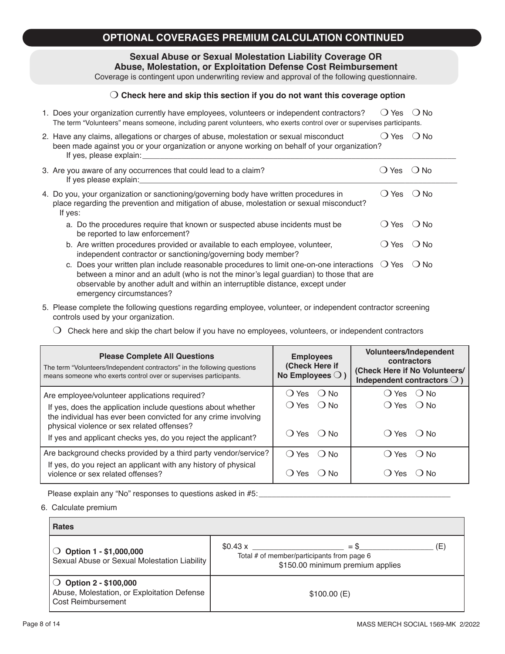# **OPTIONAL COVERAGES PREMIUM CALCULATION CONTINUED**

### **Sexual Abuse or Sexual Molestation Liability Coverage OR Abuse, Molestation, or Exploitation Defense Cost Reimbursement**

Coverage is contingent upon underwriting review and approval of the following questionnaire.

### $\bigcirc$  Check here and skip this section if you do not want this coverage option

| 1. Does your organization currently have employees, volunteers or independent contractors?                            | ○ Yes ○ No |  |
|-----------------------------------------------------------------------------------------------------------------------|------------|--|
| The term "Volunteers" means someone, including parent volunteers, who exerts control over or supervises participants. |            |  |

| 2. Have any claims, allegations or charges of abuse, molestation or sexual misconduct        | () Yes () No |  |
|----------------------------------------------------------------------------------------------|--------------|--|
| been made against you or your organization or anyone working on behalf of your organization? |              |  |
| If yes, please explain:                                                                      |              |  |

| 3. Are you aware of any occurrences that could lead to a claim?<br>If yes please explain:                                                                                                     | ◯ Yes ( ) No.    |     |
|-----------------------------------------------------------------------------------------------------------------------------------------------------------------------------------------------|------------------|-----|
| 4. Do you, your organization or sanctioning/governing body have written procedures in<br>place regarding the prevention and mitigation of abuse, molestation or sexual misconduct?<br>If yes: | $O$ Yes $O$ No   |     |
| a. Do the procedures require that known or suspected abuse incidents must be<br>be reported to law enforcement?                                                                               | $()$ Yes $()$ No |     |
| b. Are written procedures provided or available to each employee, volunteer,                                                                                                                  | ◯ Yes  )         | ∴No |

- independent contractor or sanctioning/governing body member? c. Does your written plan include reasonable procedures to limit one-on-one interactions  $\bigcirc$  Yes  $\bigcirc$  No between a minor and an adult (who is not the minor's legal guardian) to those that are observable by another adult and within an interruptible distance, except under emergency circumstances?
- 5. Please complete the following questions regarding employee, volunteer, or independent contractor screening controls used by your organization.
	- $\bigcirc$  Check here and skip the chart below if you have no employees, volunteers, or independent contractors

| <b>Please Complete All Questions</b><br>The term "Volunteers/Independent contractors" in the following questions<br>means someone who exerts control over or supervises participants. | <b>Employees</b><br>(Check Here if<br>No Employees $\bigcirc$ ) | <b>Volunteers/Independent</b><br>contractors<br>(Check Here if No Volunteers/<br>Independent contractors $\bigcirc$ ) |
|---------------------------------------------------------------------------------------------------------------------------------------------------------------------------------------|-----------------------------------------------------------------|-----------------------------------------------------------------------------------------------------------------------|
| Are employee/volunteer applications required?                                                                                                                                         | ( ) Yes<br>( ) No                                               | $()$ Yes $()$ No                                                                                                      |
| If yes, does the application include questions about whether<br>the individual has ever been convicted for any crime involving<br>physical violence or sex related offenses?          | () Yes () No                                                    | $() Yes$ $() No$                                                                                                      |
| If yes and applicant checks yes, do you reject the applicant?                                                                                                                         | () Yes () No                                                    | $()$ Yes $()$ No                                                                                                      |
| Are background checks provided by a third party vendor/service?                                                                                                                       | $\bigcirc$ Yes<br>$()$ No                                       | $\bigcirc$ Yes<br>$()$ No                                                                                             |
| If yes, do you reject an applicant with any history of physical<br>violence or sex related offenses?                                                                                  | <b>Yes</b><br>( ) N∩<br>Э.                                      | . D N∩<br>, Yes                                                                                                       |

Please explain any "No" responses to questions asked in #5:\_\_\_\_\_\_\_\_\_\_\_\_\_\_\_\_\_\_\_\_\_\_

6. Calculate premium

| <b>Rates</b>                                                                                 |                                                                                                            |     |  |  |
|----------------------------------------------------------------------------------------------|------------------------------------------------------------------------------------------------------------|-----|--|--|
| $\bigcirc$ Option 1 - \$1,000,000<br>Sexual Abuse or Sexual Molestation Liability            | $=$ \$<br>$$0.43 \times$<br>Total # of member/participants from page 6<br>\$150.00 minimum premium applies | (E) |  |  |
| ◯ Option $2 - $100,000$<br>Abuse, Molestation, or Exploitation Defense<br>Cost Reimbursement | \$100.00(E)                                                                                                |     |  |  |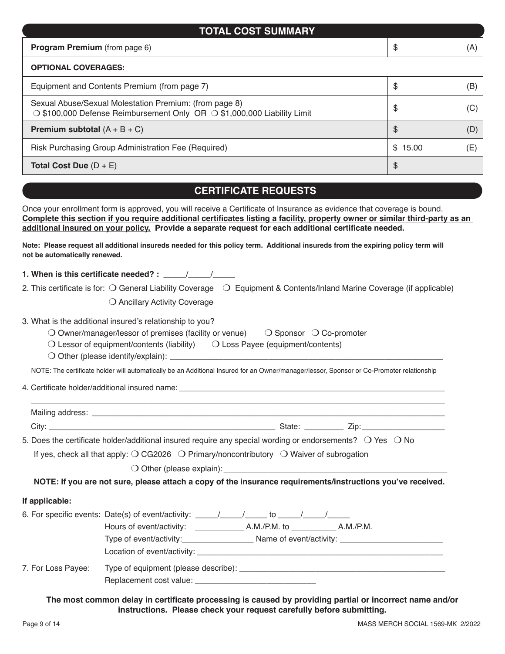| <b>TOTAL COST SUMMARY</b>                                                                                                                                                                                                                                                                                                                                                                                                                                                                                                            |               |     |  |  |
|--------------------------------------------------------------------------------------------------------------------------------------------------------------------------------------------------------------------------------------------------------------------------------------------------------------------------------------------------------------------------------------------------------------------------------------------------------------------------------------------------------------------------------------|---------------|-----|--|--|
| Program Premium (from page 6)                                                                                                                                                                                                                                                                                                                                                                                                                                                                                                        | \$            | (A) |  |  |
| <b>OPTIONAL COVERAGES:</b>                                                                                                                                                                                                                                                                                                                                                                                                                                                                                                           |               |     |  |  |
| Equipment and Contents Premium (from page 7)                                                                                                                                                                                                                                                                                                                                                                                                                                                                                         | \$            | (B) |  |  |
| Sexual Abuse/Sexual Molestation Premium: (from page 8)<br>$\bigcirc$ \$100,000 Defense Reimbursement Only OR $\bigcirc$ \$1,000,000 Liability Limit                                                                                                                                                                                                                                                                                                                                                                                  | \$            | (C) |  |  |
| <b>Premium subtotal</b> $(A + B + C)$                                                                                                                                                                                                                                                                                                                                                                                                                                                                                                | $\mathcal{L}$ | (D) |  |  |
| Risk Purchasing Group Administration Fee (Required)                                                                                                                                                                                                                                                                                                                                                                                                                                                                                  | \$15.00       | (E) |  |  |
| Total Cost Due $(D + E)$<br>\$                                                                                                                                                                                                                                                                                                                                                                                                                                                                                                       |               |     |  |  |
| <b>CERTIFICATE REQUESTS</b>                                                                                                                                                                                                                                                                                                                                                                                                                                                                                                          |               |     |  |  |
| Once your enrollment form is approved, you will receive a Certificate of Insurance as evidence that coverage is bound.<br>Complete this section if you require additional certificates listing a facility, property owner or similar third-party as an<br>additional insured on your policy. Provide a separate request for each additional certificate needed.<br>Note: Please request all additional insureds needed for this policy term. Additional insureds from the expiring policy term will<br>not be automatically renewed. |               |     |  |  |
| 1. When is this certificate needed? : $\frac{1}{2}$ / /                                                                                                                                                                                                                                                                                                                                                                                                                                                                              |               |     |  |  |
| 2. This certificate is for: $\bigcirc$ General Liability Coverage<br>$\bigcirc$ Equipment & Contents/Inland Marine Coverage (if applicable)                                                                                                                                                                                                                                                                                                                                                                                          |               |     |  |  |
| O Ancillary Activity Coverage                                                                                                                                                                                                                                                                                                                                                                                                                                                                                                        |               |     |  |  |

|  |  |  |  |  | 3. What is the additional insured's relationship to you? |  |
|--|--|--|--|--|----------------------------------------------------------|--|
|--|--|--|--|--|----------------------------------------------------------|--|

| O Owner/manager/lessor of premises (facility or venue) | $\bigcirc$ Sponsor $\bigcirc$ Co-promoter |
|--------------------------------------------------------|-------------------------------------------|
|--------------------------------------------------------|-------------------------------------------|

- $\bigcirc$  Lessor of equipment/contents (liability)  $\bigcirc$  Loss Payee (equipment/contents)
	- $\bigcirc$  Other (please identify/explain):  $\_$

NOTE: The certificate holder will automatically be an Additional Insured for an Owner/manager/lessor, Sponsor or Co-Promoter relationship

4. Certificate holder/additional insured name:  $\overline{a}$ 

| Mailing address: ___ |                                                                                                                                  |
|----------------------|----------------------------------------------------------------------------------------------------------------------------------|
| City                 | State:                                                                                                                           |
|                      | $\overline{5}$ Deep the contificate beloculaditional incursed require any epocial wording or endergomental $\cap$ Vee $\cap$ No. |

5. Does the certificate holder/additional insured require any special wording or endorsements?  $\cup$  Yes  $\cup$  No If yes, check all that apply:  $\bigcirc$  CG2026  $\bigcirc$  Primary/noncontributory  $\bigcirc$  Waiver of subrogation

 $\bigcirc$  Other (please explain):

**NOTE: If you are not sure, please attach a copy of the insurance requirements/instructions you've received.**

### **If applicable:**

|                    | Hours of event/activity: ___________<br>A.M./P.M. to A.M./P.M. |
|--------------------|----------------------------------------------------------------|
|                    | Type of event/activity:                                        |
|                    |                                                                |
| 7. For Loss Payee: |                                                                |

**The most common delay in certificate processing is caused by providing partial or incorrect name and/or instructions. Please check your request carefully before submitting.**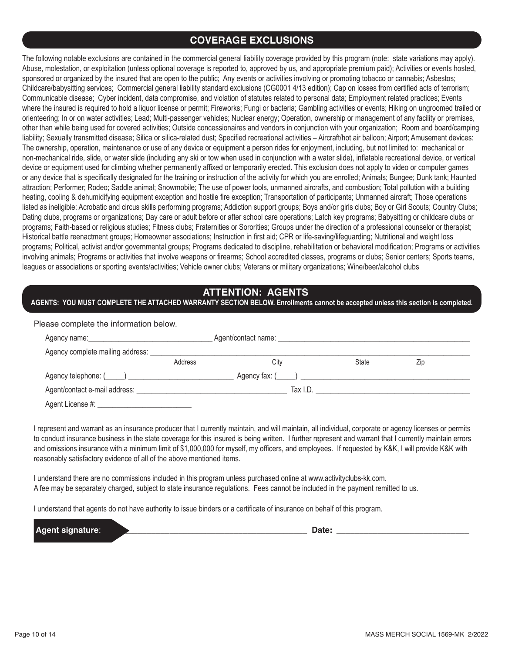# **COVERAGE EXCLUSIONS**

The following notable exclusions are contained in the commercial general liability coverage provided by this program (note: state variations may apply). Abuse, molestation, or exploitation (unless optional coverage is reported to, approved by us, and appropriate premium paid); Activities or events hosted, sponsored or organized by the insured that are open to the public; Any events or activities involving or promoting tobacco or cannabis; Asbestos; Childcare/babysitting services; Commercial general liability standard exclusions (CG0001 4/13 edition); Cap on losses from certified acts of terrorism; Communicable disease; Cyber incident, data compromise, and violation of statutes related to personal data; Employment related practices; Events where the insured is required to hold a liquor license or permit; Fireworks; Fungi or bacteria; Gambling activities or events; Hiking on ungroomed trailed or orienteering; In or on water activities; Lead; Multi-passenger vehicles; Nuclear energy; Operation, ownership or management of any facility or premises, other than while being used for covered activities; Outside concessionaires and vendors in conjunction with your organization; Room and board/camping liability; Sexually transmitted disease; Silica or silica-related dust; Specified recreational activities – Aircraft/hot air balloon; Airport; Amusement devices; The ownership, operation, maintenance or use of any device or equipment a person rides for enjoyment, including, but not limited to: mechanical or non-mechanical ride, slide, or water slide (including any ski or tow when used in conjunction with a water slide), inflatable recreational device, or vertical device or equipment used for climbing whether permanently affixed or temporarily erected. This exclusion does not apply to video or computer games or any device that is specifically designated for the training or instruction of the activity for which you are enrolled; Animals; Bungee; Dunk tank; Haunted attraction; Performer; Rodeo; Saddle animal; Snowmobile; The use of power tools, unmanned aircrafts, and combustion; Total pollution with a building heating, cooling & dehumidifying equipment exception and hostile fire exception; Transportation of participants; Unmanned aircraft; Those operations listed as ineligible: Acrobatic and circus skills performing programs; Addiction support groups; Boys and/or girls clubs; Boy or Girl Scouts; Country Clubs; Dating clubs, programs or organizations; Day care or adult before or after school care operations; Latch key programs; Babysitting or childcare clubs or programs; Faith-based or religious studies; Fitness clubs; Fraternities or Sororities; Groups under the direction of a professional counselor or therapist; Historical battle reenactment groups; Homeowner associations; Instruction in first aid; CPR or life-saving/lifeguarding; Nutritional and weight loss programs; Political, activist and/or governmental groups; Programs dedicated to discipline, rehabilitation or behavioral modification; Programs or activities involving animals; Programs or activities that involve weapons or firearms; School accredited classes, programs or clubs; Senior centers; Sports teams, leagues or associations or sporting events/activities; Vehicle owner clubs; Veterans or military organizations; Wine/beer/alcohol clubs

# **ATTENTION: AGENTS**

**AGENTS: YOU MUST COMPLETE THE ATTACHED WARRANTY SECTION BELOW. Enrollments cannot be accepted unless this section is completed.**

| Please complete the information below. |         |                                                  |          |     |  |
|----------------------------------------|---------|--------------------------------------------------|----------|-----|--|
|                                        |         | Agent/contact name: Name and Agent/contact name: |          |     |  |
|                                        |         |                                                  |          |     |  |
|                                        | Address | City                                             | State    | Zip |  |
|                                        |         |                                                  |          |     |  |
|                                        |         |                                                  | Tax I.D. |     |  |
| Agent License #:                       |         |                                                  |          |     |  |

I represent and warrant as an insurance producer that I currently maintain, and will maintain, all individual, corporate or agency licenses or permits to conduct insurance business in the state coverage for this insured is being written. I further represent and warrant that I currently maintain errors and omissions insurance with a minimum limit of \$1,000,000 for myself, my officers, and employees. If requested by K&K, I will provide K&K with reasonably satisfactory evidence of all of the above mentioned items.

I understand there are no commissions included in this program unless purchased online at www.activityclubs-kk.com. A fee may be separately charged, subject to state insurance regulations. Fees cannot be included in the payment remitted to us.

I understand that agents do not have authority to issue binders or a certificate of insurance on behalf of this program.

**Agent signature**: \_\_\_\_\_\_\_\_\_\_\_\_\_\_\_\_\_\_\_\_\_\_\_\_\_\_\_\_\_\_\_\_\_\_\_\_\_\_\_\_\_\_\_\_ **Date:** \_\_\_\_\_\_\_\_\_\_\_\_\_\_\_\_\_\_\_\_\_\_\_\_\_\_\_\_\_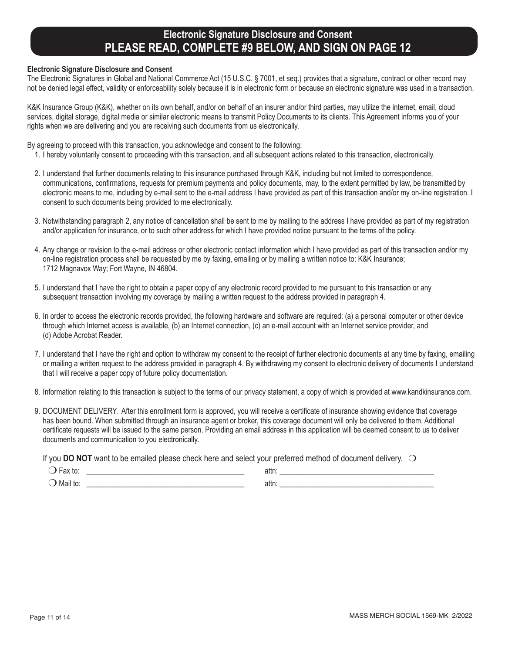# **Electronic Signature Disclosure and Consent PLEASE READ, COMPLETE #9 BELOW, AND SIGN ON PAGE 12**

### **Electronic Signature Disclosure and Consent**

The Electronic Signatures in Global and National Commerce Act (15 U.S.C. § 7001, et seq.) provides that a signature, contract or other record may not be denied legal effect, validity or enforceability solely because it is in electronic form or because an electronic signature was used in a transaction.

K&K Insurance Group (K&K), whether on its own behalf, and/or on behalf of an insurer and/or third parties, may utilize the internet, email, cloud services, digital storage, digital media or similar electronic means to transmit Policy Documents to its clients. This Agreement informs you of your rights when we are delivering and you are receiving such documents from us electronically.

By agreeing to proceed with this transaction, you acknowledge and consent to the following:

- 1. I hereby voluntarily consent to proceeding with this transaction, and all subsequent actions related to this transaction, electronically.
- 2. I understand that further documents relating to this insurance purchased through K&K, including but not limited to correspondence, communications, confirmations, requests for premium payments and policy documents, may, to the extent permitted by law, be transmitted by electronic means to me, including by e-mail sent to the e-mail address I have provided as part of this transaction and/or my on-line registration. I consent to such documents being provided to me electronically.
- 3. Notwithstanding paragraph 2, any notice of cancellation shall be sent to me by mailing to the address I have provided as part of my registration and/or application for insurance, or to such other address for which I have provided notice pursuant to the terms of the policy.
- 4. Any change or revision to the e-mail address or other electronic contact information which I have provided as part of this transaction and/or my on-line registration process shall be requested by me by faxing, emailing or by mailing a written notice to: K&K Insurance; 1712 Magnavox Way; Fort Wayne, IN 46804.
- 5. I understand that I have the right to obtain a paper copy of any electronic record provided to me pursuant to this transaction or any subsequent transaction involving my coverage by mailing a written request to the address provided in paragraph 4.
- 6. In order to access the electronic records provided, the following hardware and software are required: (a) a personal computer or other device through which Internet access is available, (b) an Internet connection, (c) an e-mail account with an Internet service provider, and (d) Adobe Acrobat Reader.
- 7. I understand that I have the right and option to withdraw my consent to the receipt of further electronic documents at any time by faxing, emailing or mailing a written request to the address provided in paragraph 4. By withdrawing my consent to electronic delivery of documents I understand that I will receive a paper copy of future policy documentation.
- 8. Information relating to this transaction is subject to the terms of our privacy statement, a copy of which is provided at www.kandkinsurance.com.
- 9. DOCUMENT DELIVERY. After this enrollment form is approved, you will receive a certificate of insurance showing evidence that coverage has been bound. When submitted through an insurance agent or broker, this coverage document will only be delivered to them. Additional certificate requests will be issued to the same person. Providing an email address in this application will be deemed consent to us to deliver documents and communication to you electronically.

If you **DO NOT** want to be emailed please check here and select your preferred method of document delivery.  $\bigcirc$ 

| αλ ιυ.   | aw. |  |
|----------|-----|--|
| Mail to. | aw. |  |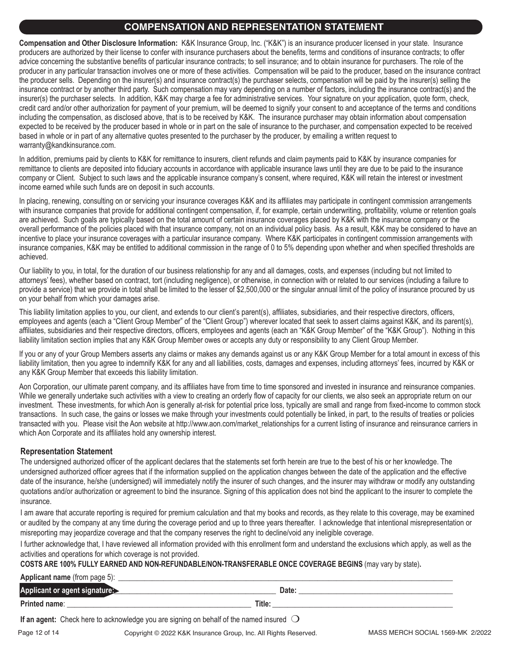# **COMPENSATION AND REPRESENTATION STATEMENT**

**Compensation and Other Disclosure Information:** K&K Insurance Group, Inc. ("K&K") is an insurance producer licensed in your state. Insurance producers are authorized by their license to confer with insurance purchasers about the benefits, terms and conditions of insurance contracts; to offer advice concerning the substantive benefits of particular insurance contracts; to sell insurance; and to obtain insurance for purchasers. The role of the producer in any particular transaction involves one or more of these activities. Compensation will be paid to the producer, based on the insurance contract the producer sells. Depending on the insurer(s) and insurance contract(s) the purchaser selects, compensation will be paid by the insurer(s) selling the insurance contract or by another third party. Such compensation may vary depending on a number of factors, including the insurance contract(s) and the insurer(s) the purchaser selects. In addition, K&K may charge a fee for administrative services. Your signature on your application, quote form, check, credit card and/or other authorization for payment of your premium, will be deemed to signify your consent to and acceptance of the terms and conditions including the compensation, as disclosed above, that is to be received by K&K. The insurance purchaser may obtain information about compensation expected to be received by the producer based in whole or in part on the sale of insurance to the purchaser, and compensation expected to be received based in whole or in part of any alternative quotes presented to the purchaser by the producer, by emailing a written request to warranty@kandkinsurance.com.

In addition, premiums paid by clients to K&K for remittance to insurers, client refunds and claim payments paid to K&K by insurance companies for remittance to clients are deposited into fiduciary accounts in accordance with applicable insurance laws until they are due to be paid to the insurance company or Client. Subject to such laws and the applicable insurance company's consent, where required, K&K will retain the interest or investment income earned while such funds are on deposit in such accounts.

In placing, renewing, consulting on or servicing your insurance coverages K&K and its affiliates may participate in contingent commission arrangements with insurance companies that provide for additional contingent compensation, if, for example, certain underwriting, profitability, volume or retention goals are achieved. Such goals are typically based on the total amount of certain insurance coverages placed by K&K with the insurance company or the overall performance of the policies placed with that insurance company, not on an individual policy basis. As a result, K&K may be considered to have an incentive to place your insurance coverages with a particular insurance company. Where K&K participates in contingent commission arrangements with insurance companies, K&K may be entitled to additional commission in the range of 0 to 5% depending upon whether and when specified thresholds are achieved.

Our liability to you, in total, for the duration of our business relationship for any and all damages, costs, and expenses (including but not limited to attorneys' fees), whether based on contract, tort (including negligence), or otherwise, in connection with or related to our services (including a failure to provide a service) that we provide in total shall be limited to the lesser of \$2,500,000 or the singular annual limit of the policy of insurance procured by us on your behalf from which your damages arise.

This liability limitation applies to you, our client, and extends to our client's parent(s), affiliates, subsidiaries, and their respective directors, officers, employees and agents (each a "Client Group Member" of the "Client Group") wherever located that seek to assert claims against K&K, and its parent(s), affiliates, subsidiaries and their respective directors, officers, employees and agents (each an "K&K Group Member" of the "K&K Group"). Nothing in this liability limitation section implies that any K&K Group Member owes or accepts any duty or responsibility to any Client Group Member.

If you or any of your Group Members asserts any claims or makes any demands against us or any K&K Group Member for a total amount in excess of this liability limitation, then you agree to indemnify K&K for any and all liabilities, costs, damages and expenses, including attorneys' fees, incurred by K&K or any K&K Group Member that exceeds this liability limitation.

Aon Corporation, our ultimate parent company, and its affiliates have from time to time sponsored and invested in insurance and reinsurance companies. While we generally undertake such activities with a view to creating an orderly flow of capacity for our clients, we also seek an appropriate return on our investment. These investments, for which Aon is generally at-risk for potential price loss, typically are small and range from fixed-income to common stock transactions. In such case, the gains or losses we make through your investments could potentially be linked, in part, to the results of treaties or policies transacted with you. Please visit the Aon website at http://www.aon.com/market\_relationships for a current listing of insurance and reinsurance carriers in which Aon Corporate and its affiliates hold any ownership interest.

## **Representation Statement**

The undersigned authorized officer of the applicant declares that the statements set forth herein are true to the best of his or her knowledge. The undersigned authorized officer agrees that if the information supplied on the application changes between the date of the application and the effective date of the insurance, he/she (undersigned) will immediately notify the insurer of such changes, and the insurer may withdraw or modify any outstanding quotations and/or authorization or agreement to bind the insurance. Signing of this application does not bind the applicant to the insurer to complete the insurance.

I am aware that accurate reporting is required for premium calculation and that my books and records, as they relate to this coverage, may be examined or audited by the company at any time during the coverage period and up to three years thereafter. I acknowledge that intentional misrepresentation or misreporting may jeopardize coverage and that the company reserves the right to decline/void any ineligible coverage.

I further acknowledge that, I have reviewed all information provided with this enrollment form and understand the exclusions which apply, as well as the activities and operations for which coverage is not provided.

### **COSTS ARE 100% FULLY EARNED AND NON-REFUNDABLE/NON-TRANSFERABLE ONCE COVERAGE BEGINS** (may vary by state)**.**

**Applicant name** (from page 5):

| . .<br>Applicant <sup>-</sup><br>or<br>etotelon |        | Date |
|-------------------------------------------------|--------|------|
| <b>Printed</b><br>name.                         | Title: |      |

**If an agent:** Check here to acknowledge you are signing on behalf of the named insured  $\bigcirc$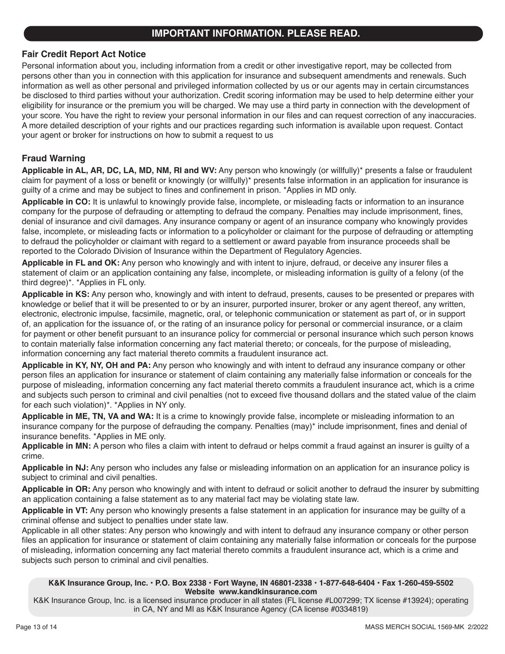## **IMPORTANT INFORMATION. PLEASE READ.**

## **Fair Credit Report Act Notice**

Personal information about you, including information from a credit or other investigative report, may be collected from persons other than you in connection with this application for insurance and subsequent amendments and renewals. Such information as well as other personal and privileged information collected by us or our agents may in certain circumstances be disclosed to third parties without your authorization. Credit scoring information may be used to help determine either your eligibility for insurance or the premium you will be charged. We may use a third party in connection with the development of your score. You have the right to review your personal information in our files and can request correction of any inaccuracies. A more detailed description of your rights and our practices regarding such information is available upon request. Contact your agent or broker for instructions on how to submit a request to us

## **Fraud Warning**

**Applicable in AL, AR, DC, LA, MD, NM, RI and WV:** Any person who knowingly (or willfully)\* presents a false or fraudulent claim for payment of a loss or benefit or knowingly (or willfully)\* presents false information in an application for insurance is guilty of a crime and may be subject to fines and confinement in prison. \*Applies in MD only.

**Applicable in CO:** It is unlawful to knowingly provide false, incomplete, or misleading facts or information to an insurance company for the purpose of defrauding or attempting to defraud the company. Penalties may include imprisonment, fines, denial of insurance and civil damages. Any insurance company or agent of an insurance company who knowingly provides false, incomplete, or misleading facts or information to a policyholder or claimant for the purpose of defrauding or attempting to defraud the policyholder or claimant with regard to a settlement or award payable from insurance proceeds shall be reported to the Colorado Division of Insurance within the Department of Regulatory Agencies.

**Applicable in FL and OK:** Any person who knowingly and with intent to injure, defraud, or deceive any insurer files a statement of claim or an application containing any false, incomplete, or misleading information is guilty of a felony (of the third degree)\*. \*Applies in FL only.

**Applicable in KS:** Any person who, knowingly and with intent to defraud, presents, causes to be presented or prepares with knowledge or belief that it will be presented to or by an insurer, purported insurer, broker or any agent thereof, any written, electronic, electronic impulse, facsimile, magnetic, oral, or telephonic communication or statement as part of, or in support of, an application for the issuance of, or the rating of an insurance policy for personal or commercial insurance, or a claim for payment or other benefit pursuant to an insurance policy for commercial or personal insurance which such person knows to contain materially false information concerning any fact material thereto; or conceals, for the purpose of misleading, information concerning any fact material thereto commits a fraudulent insurance act.

**Applicable in KY, NY, OH and PA:** Any person who knowingly and with intent to defraud any insurance company or other person files an application for insurance or statement of claim containing any materially false information or conceals for the purpose of misleading, information concerning any fact material thereto commits a fraudulent insurance act, which is a crime and subjects such person to criminal and civil penalties (not to exceed five thousand dollars and the stated value of the claim for each such violation)\*. \*Applies in NY only.

**Applicable in ME, TN, VA and WA:** It is a crime to knowingly provide false, incomplete or misleading information to an insurance company for the purpose of defrauding the company. Penalties (may)\* include imprisonment, fines and denial of insurance benefits. \*Applies in ME only.

**Applicable in MN:** A person who files a claim with intent to defraud or helps commit a fraud against an insurer is guilty of a crime.

**Applicable in NJ:** Any person who includes any false or misleading information on an application for an insurance policy is subject to criminal and civil penalties.

**Applicable in OR:** Any person who knowingly and with intent to defraud or solicit another to defraud the insurer by submitting an application containing a false statement as to any material fact may be violating state law.

**Applicable in VT:** Any person who knowingly presents a false statement in an application for insurance may be guilty of a criminal offense and subject to penalties under state law.

Applicable in all other states: Any person who knowingly and with intent to defraud any insurance company or other person files an application for insurance or statement of claim containing any materially false information or conceals for the purpose of misleading, information concerning any fact material thereto commits a fraudulent insurance act, which is a crime and subjects such person to criminal and civil penalties.

### **K&K Insurance Group, Inc. • P.O. Box 2338 • Fort Wayne, IN 46801-2338 • 1-877-648-6404 • Fax 1-260-459-5502 Website www.kandkinsurance.com**

K&K Insurance Group, Inc. is a licensed insurance producer in all states (FL license #L007299; TX license #13924); operating in CA, NY and MI as K&K Insurance Agency (CA license #0334819)